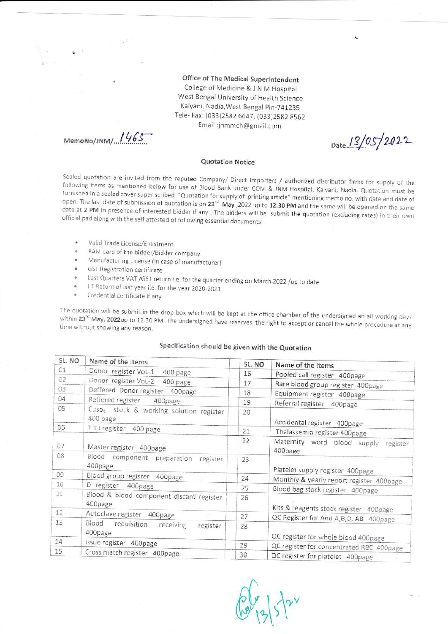Office of The Medical Superintendent College of Medicine & J N M Hospital West Bengal University of Health Science Kalyani, Nadia, West Bengal Pin-741235 Tele- Fax: (033)2582 6647, (033)2582 8562 Email :jnmmch@gmail.com

MemoNo/JNM/ 1465

Date  $13/05/2022$ 

## Quotation Notice

Sealed quotation are invited from the reputed Company/ Direct Importers / authorized distributor firms for supply of the following items as mentioned below for use of Blood Bank under COM & JNM Hospital, Kalyani, Nadia. Q

- $\ddot{\phantom{a}}$ Valid Trade License/Eniistment
- PAN card of the bidder/Bidder company ä
- Manufacturing License (in case of manufacturer) s
- GST Registration certificate
- Last Quarters VAT /GST return i.e. for the quarter ending on March 2022 /up to date \*
- IT Return of last year i.e. for the year 2020-2021 ;
- Credential certificate if any

within The quotation will be submit in the drop box which will be kept at the office chamber of the undersigned an all working days<br>within 23<sup>rd</sup> May, 2022up to 12.30 PM .The undersigned have reserves the right to accept or cance

## Specification should be given with the Quotation

| SL. NO | Name of the Items                                               | SL. NO | Name of the Items                                                               |
|--------|-----------------------------------------------------------------|--------|---------------------------------------------------------------------------------|
| 01     | Donor register VoL-1<br>400 page                                | 16     | Pooled call register 400page                                                    |
| 02     | Donor register Vol-2 400 page                                   | 17     |                                                                                 |
| 03     | Deffered Donor register 400page                                 | 18     | Rare blood group register 400page                                               |
| 04     | Reffered register<br>400page                                    | 19     | Equipment register 400page<br>Referral register 400page                         |
| 05     | Cuso <sub>4</sub> stock & working solution register<br>400 page | 20     | Accidental register 400page                                                     |
| 06     | TTI register 400 page                                           | 21     | Thalassemia register 400page                                                    |
| 07     | Master register 400page                                         | 22     | Maternity word blood supply register<br>400page                                 |
| 08     | Blood component preparation register<br>400page                 | 23     | Platelet supply register 400page                                                |
| 09     | Blood group register 400page                                    | 24     |                                                                                 |
| 10     | D" register 400page                                             | 25     | Monthly & yearly report register 400page                                        |
| 11     | Blood & blood component discard register<br>400page             | 26     | Blood bag stock register 400page<br>Kits & reagents stock register 400page      |
| 12     | Autoclave register 400page                                      | 27     |                                                                                 |
| 13     | Blood requisition receiving<br>register<br>400page              | 28     | QC Register for Anti A, B, D, AB 400page<br>QC register for whole blood 400page |
| 14     | Issue register 400page                                          | 29     |                                                                                 |
| 15     | Cross match register 400page                                    | 30     | QC register for concentrated RBC 400page<br>QC register for platelet 400page    |

 $\int$